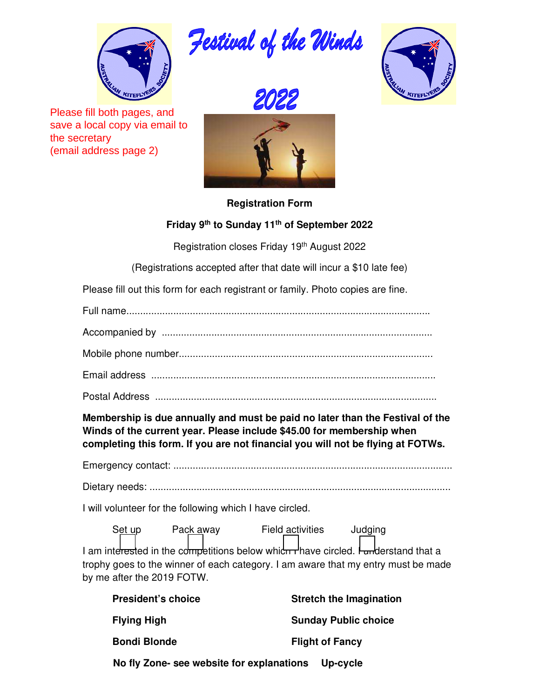

Please fill both pages, and save a local copy via email to the secretary (email address page 2)









## **Registration Form**

## **Friday 9th to Sunday 11th of September 2022**

Registration closes Friday 19<sup>th</sup> August 2022

(Registrations accepted after that date will incur a \$10 late fee)

Please fill out this form for each registrant or family. Photo copies are fine.

Full name..............................................................................................................

Accompanied by ..................................................................................................

Mobile phone number............................................................................................

Email address .......................................................................................................

Postal Address ......................................................................................................

**Membership is due annually and must be paid no later than the Festival of the Winds of the current year. Please include \$45.00 for membership when completing this form. If you are not financial you will not be flying at FOTWs.** 

Emergency contact: .....................................................................................................

Dietary needs: .............................................................................................................

I will volunteer for the following which I have circled.

Set up Pack away Field activities Judging I am interested in the competitions below which rhave circled. Funderstand that a trophy goes to the winner of each category. I am aware that my entry must be made by me after the 2019 FOTW.

| <b>President's choice</b>                 | <b>Stretch the Imagination</b> |  |
|-------------------------------------------|--------------------------------|--|
| <b>Flying High</b>                        | <b>Sunday Public choice</b>    |  |
| <b>Bondi Blonde</b>                       | <b>Flight of Fancy</b>         |  |
| No fly Zone- see website for explanations | Up-cycle                       |  |